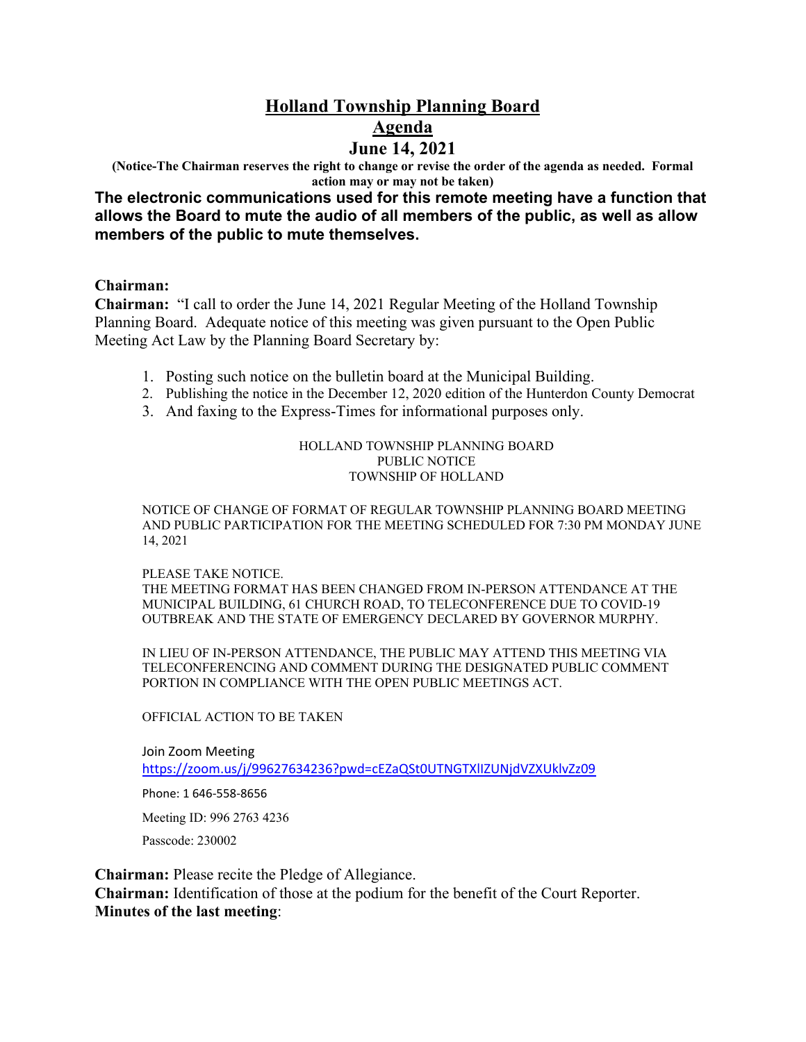## **Holland Township Planning Board Agenda June 14, 2021**

**(Notice-The Chairman reserves the right to change or revise the order of the agenda as needed. Formal action may or may not be taken)**

**The electronic communications used for this remote meeting have a function that allows the Board to mute the audio of all members of the public, as well as allow members of the public to mute themselves.**

### **Chairman:**

**Chairman:** "I call to order the June 14, 2021 Regular Meeting of the Holland Township Planning Board. Adequate notice of this meeting was given pursuant to the Open Public Meeting Act Law by the Planning Board Secretary by:

- 1. Posting such notice on the bulletin board at the Municipal Building.
- 2. Publishing the notice in the December 12, 2020 edition of the Hunterdon County Democrat
- 3. And faxing to the Express-Times for informational purposes only.

#### HOLLAND TOWNSHIP PLANNING BOARD PUBLIC NOTICE TOWNSHIP OF HOLLAND

NOTICE OF CHANGE OF FORMAT OF REGULAR TOWNSHIP PLANNING BOARD MEETING AND PUBLIC PARTICIPATION FOR THE MEETING SCHEDULED FOR 7:30 PM MONDAY JUNE 14, 2021

#### PLEASE TAKE NOTICE.

THE MEETING FORMAT HAS BEEN CHANGED FROM IN-PERSON ATTENDANCE AT THE MUNICIPAL BUILDING, 61 CHURCH ROAD, TO TELECONFERENCE DUE TO COVID-19 OUTBREAK AND THE STATE OF EMERGENCY DECLARED BY GOVERNOR MURPHY.

IN LIEU OF IN-PERSON ATTENDANCE, THE PUBLIC MAY ATTEND THIS MEETING VIA TELECONFERENCING AND COMMENT DURING THE DESIGNATED PUBLIC COMMENT PORTION IN COMPLIANCE WITH THE OPEN PUBLIC MEETINGS ACT.

#### OFFICIAL ACTION TO BE TAKEN

Join Zoom Meeting <https://zoom.us/j/99627634236?pwd=cEZaQSt0UTNGTXlIZUNjdVZXUklvZz09>

Phone: 1 646-558-8656

Meeting ID: 996 2763 4236

Passcode: 230002

**Chairman:** Please recite the Pledge of Allegiance.

**Chairman:** Identification of those at the podium for the benefit of the Court Reporter. **Minutes of the last meeting**: